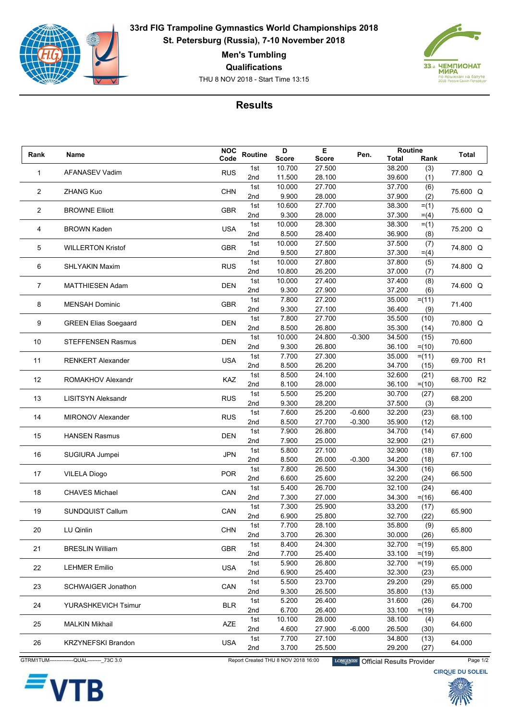

**33rd FIG Trampoline Gymnastics World Championships 2018 St. Petersburg (Russia), 7-10 November 2018**

**Men's Tumbling**

**Qualifications**

THU 8 NOV 2018 - Start Time 13:15



## **Results**

| Rank           |                             | <b>NOC</b> | Routine    | D              | Е                | Pen.     | Routine          |          | Total     |
|----------------|-----------------------------|------------|------------|----------------|------------------|----------|------------------|----------|-----------|
|                | Name                        | Code       |            | <b>Score</b>   | <b>Score</b>     |          | <b>Total</b>     | Rank     |           |
| 1              | <b>AFANASEV Vadim</b>       | <b>RUS</b> | 1st        | 10.700         | 27.500           |          | 38.200           | (3)      | 77.800 Q  |
|                |                             |            | 2nd        | 11.500         | 28.100           |          | 39.600           | (1)      |           |
| $\overline{2}$ | <b>ZHANG Kuo</b>            | <b>CHN</b> | 1st        | 10.000         | 27.700           |          | 37.700           | (6)      | 75.600 Q  |
|                |                             |            | 2nd        | 9.900          | 28.000           |          | 37.900           | (2)      |           |
|                |                             | <b>GBR</b> | 1st        | 10.600         | 27.700           |          | 38.300           | $= (1)$  |           |
| 2              | <b>BROWNE Elliott</b>       |            | 2nd        | 9.300          | 28.000           |          | 37.300           | $= (4)$  | 75.600 Q  |
|                |                             |            | 1st        | 10.000         | 28.300           |          | 38.300           | $= (1)$  |           |
| 4              | <b>BROWN Kaden</b>          | <b>USA</b> | 2nd        | 8.500          | 28.400           |          | 36.900           | (8)      | 75.200 Q  |
|                | <b>WILLERTON Kristof</b>    | <b>GBR</b> | 1st        | 10.000         | 27.500           |          | 37.500           | (7)      |           |
| 5              |                             |            | 2nd        | 9.500          | 27.800           |          | 37.300           | $= (4)$  | 74.800 Q  |
|                |                             |            | 1st        | 10.000         | 27.800           |          | 37.800           | (5)      |           |
| 6              | <b>SHLYAKIN Maxim</b>       | <b>RUS</b> | 2nd        | 10.800         | 26.200           |          | 37.000           | (7)      | 74.800 Q  |
|                |                             |            | 1st        | 10.000         | 27.400           |          | 37.400           | (8)      |           |
| 7              | <b>MATTHIESEN Adam</b>      | <b>DEN</b> | 2nd        | 9.300          | 27.900           |          | 37.200           | (6)      | 74.600 Q  |
|                |                             |            | 1st        | 7.800          | 27.200           |          | 35.000           | $= (11)$ |           |
| 8              | <b>MENSAH Dominic</b>       | <b>GBR</b> | 2nd        | 9.300          | 27.100           |          | 36.400           | (9)      | 71.400    |
|                |                             |            | 1st        | 7.800          | 27.700           |          | 35.500           | (10)     |           |
| 9              | <b>GREEN Elias Soegaard</b> | <b>DEN</b> | 2nd        | 8.500          | 26.800           |          | 35.300           | (14)     | 70.800 Q  |
|                |                             |            | 1st        | 10.000         | 24.800           | $-0.300$ | 34.500           | (15)     |           |
| 10             | <b>STEFFENSEN Rasmus</b>    | <b>DEN</b> | 2nd        | 9.300          | 26.800           |          | 36.100           | $= (10)$ | 70.600    |
|                |                             |            | 1st        | 7.700          | 27.300           |          | 35.000           | $= (11)$ |           |
| 11             | <b>RENKERT Alexander</b>    | <b>USA</b> | 2nd        | 8.500          | 26.200           |          | 34.700           | (15)     | 69.700 R1 |
|                |                             |            | 1st        | 8.500          | 24.100           |          | 32.600           | (21)     |           |
| 12             | ROMAKHOV Alexandr           | KAZ        | 2nd        | 8.100          | 28.000           |          | 36.100           | $= (10)$ | 68.700 R2 |
|                |                             |            | 1st        | 5.500          | 25.200           |          | 30.700           | (27)     |           |
| 13             | <b>LISITSYN Aleksandr</b>   | <b>RUS</b> | 2nd        | 9.300          | 28.200           |          | 37.500           | (3)      | 68.200    |
|                |                             |            | 1st        | 7.600          | 25.200           | $-0.600$ | 32.200           | (23)     |           |
| 14             | <b>MIRONOV Alexander</b>    | <b>RUS</b> | 2nd        | 8.500          | 27.700           | $-0.300$ | 35.900           | (12)     | 68.100    |
|                |                             |            | 1st        | 7.900          | 26.800           |          | 34.700           | (14)     |           |
| 15             | <b>HANSEN Rasmus</b>        | <b>DEN</b> | 2nd        | 7.900          | 25.000           |          | 32.900           | (21)     | 67.600    |
|                |                             |            | 1st        | 5.800          | 27.100           |          | 32.900           | (18)     |           |
| 16             | SUGIURA Jumpei              | <b>JPN</b> | 2nd        | 8.500          | 26.000           | $-0.300$ | 34.200           | (18)     | 67.100    |
|                |                             |            | 1st        | 7.800          | 26.500           |          | 34.300           | (16)     |           |
| 17             | <b>VILELA Diogo</b>         | <b>POR</b> | 2nd        | 6.600          | 25.600           |          | 32.200           | (24)     | 66.500    |
|                |                             |            | 1st        | 5.400          | 26.700           |          | 32.100           |          |           |
| 18             | <b>CHAVES Michael</b>       | CAN        |            |                |                  |          |                  | (24)     | 66.400    |
|                |                             |            | 2nd<br>1st | 7.300<br>7.300 | 27.000<br>25.900 |          | 34.300<br>33.200 | $= (16)$ |           |
| 19             | <b>SUNDQUIST Callum</b>     | CAN        |            |                |                  |          |                  | (17)     | 65.900    |
|                |                             |            | 2nd        | 6.900          | 25.800<br>28.100 |          | 32.700           | (22)     |           |
| 20             | LU Qinlin                   | <b>CHN</b> | 1st        | 7.700          |                  |          | 35.800           | (9)      | 65.800    |
|                |                             |            | 2nd        | 3.700          | 26.300           |          | 30.000           | (26)     |           |
| 21             | <b>BRESLIN William</b>      | <b>GBR</b> | 1st        | 8.400          | 24.300           |          | 32.700           | $=$ (19) | 65.800    |
|                |                             |            | 2nd        | 7.700          | 25.400           |          | 33.100           | $=$ (19) |           |
| 22             | <b>LEHMER Emilio</b>        | <b>USA</b> | 1st        | 5.900          | 26.800           |          | 32.700           | $= (19)$ | 65.000    |
|                |                             |            | 2nd        | 6.900          | 25.400           |          | 32.300           | (23)     |           |
| 23             | <b>SCHWAIGER Jonathon</b>   | CAN        | 1st        | 5.500          | 23.700           |          | 29.200           | (29)     | 65.000    |
|                |                             |            | 2nd        | 9.300          | 26.500           |          | 35.800           | (13)     |           |
| 24             | <b>YURASHKEVICH Tsimur</b>  | <b>BLR</b> | 1st        | 5.200          | 26.400           |          | 31.600           | (26)     | 64.700    |
|                |                             |            | 2nd        | 6.700          | 26.400           |          | 33.100           | $=$ (19) |           |
| 25             | <b>MALKIN Mikhail</b>       | <b>AZE</b> | 1st        | 10.100         | 28.000           |          | 38.100           | (4)      | 64.600    |
|                |                             |            | 2nd        | 4.600          | 27.900           | $-6.000$ | 26.500           | (30)     |           |
| 26             | <b>KRZYNEFSKI Brandon</b>   | <b>USA</b> | 1st        | 7.700          | 27.100           |          | 34.800           | (13)     | 64.000    |
|                |                             |            | 2nd        | 3.700          | 25.500           |          | 29.200           | (27)     |           |



GTRM1TUM---------------QUAL---------\_73C 3.0 Report Created THU 8 NOV 2018 16:00 LONGINES Official Results Provider Page 1/2<br>CIRQUE DU SOLEIL